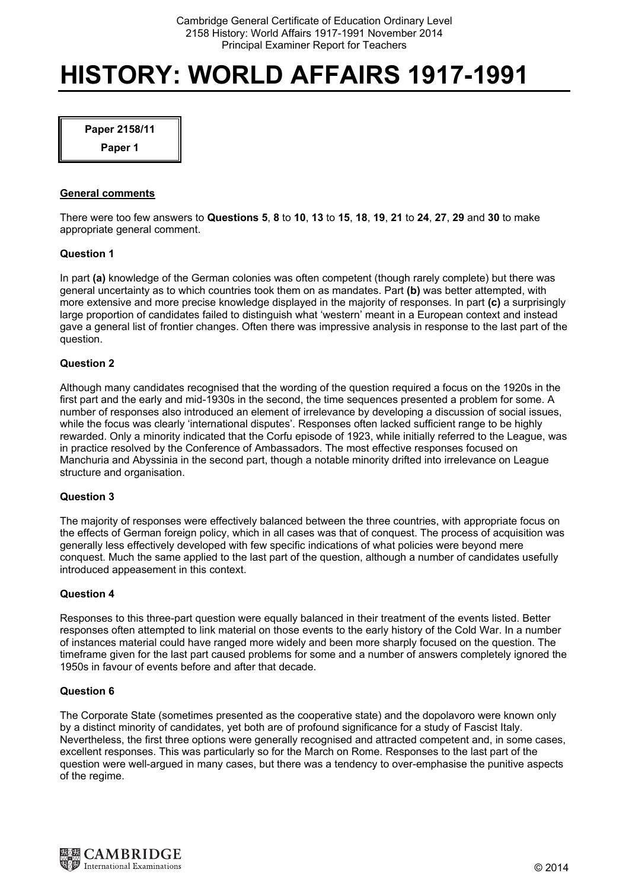# **HISTORY: WORLD AFFAIRS 1917-1991**

**Paper 2158/11** 

**Paper 1** 

## **General comments**

There were too few answers to **Questions 5**, **8** to **10**, **13** to **15**, **18**, **19**, **21** to **24**, **27**, **29** and **30** to make appropriate general comment.

## **Question 1**

In part **(a)** knowledge of the German colonies was often competent (though rarely complete) but there was general uncertainty as to which countries took them on as mandates. Part **(b)** was better attempted, with more extensive and more precise knowledge displayed in the majority of responses. In part **(c)** a surprisingly large proportion of candidates failed to distinguish what 'western' meant in a European context and instead gave a general list of frontier changes. Often there was impressive analysis in response to the last part of the question.

## **Question 2**

Although many candidates recognised that the wording of the question required a focus on the 1920s in the first part and the early and mid-1930s in the second, the time sequences presented a problem for some. A number of responses also introduced an element of irrelevance by developing a discussion of social issues, while the focus was clearly 'international disputes'. Responses often lacked sufficient range to be highly rewarded. Only a minority indicated that the Corfu episode of 1923, while initially referred to the League, was in practice resolved by the Conference of Ambassadors. The most effective responses focused on Manchuria and Abyssinia in the second part, though a notable minority drifted into irrelevance on League structure and organisation.

#### **Question 3**

The majority of responses were effectively balanced between the three countries, with appropriate focus on the effects of German foreign policy, which in all cases was that of conquest. The process of acquisition was generally less effectively developed with few specific indications of what policies were beyond mere conquest. Much the same applied to the last part of the question, although a number of candidates usefully introduced appeasement in this context.

#### **Question 4**

Responses to this three-part question were equally balanced in their treatment of the events listed. Better responses often attempted to link material on those events to the early history of the Cold War. In a number of instances material could have ranged more widely and been more sharply focused on the question. The timeframe given for the last part caused problems for some and a number of answers completely ignored the 1950s in favour of events before and after that decade.

#### **Question 6**

The Corporate State (sometimes presented as the cooperative state) and the dopolavoro were known only by a distinct minority of candidates, yet both are of profound significance for a study of Fascist Italy. Nevertheless, the first three options were generally recognised and attracted competent and, in some cases, excellent responses. This was particularly so for the March on Rome. Responses to the last part of the question were well-argued in many cases, but there was a tendency to over-emphasise the punitive aspects of the regime.

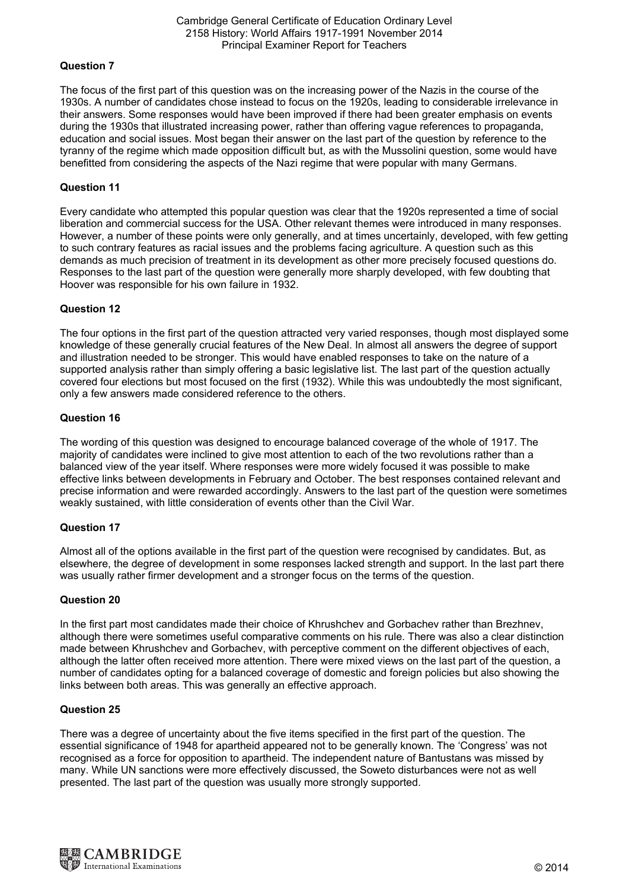# **Question 7**

The focus of the first part of this question was on the increasing power of the Nazis in the course of the 1930s. A number of candidates chose instead to focus on the 1920s, leading to considerable irrelevance in their answers. Some responses would have been improved if there had been greater emphasis on events during the 1930s that illustrated increasing power, rather than offering vague references to propaganda, education and social issues. Most began their answer on the last part of the question by reference to the tyranny of the regime which made opposition difficult but, as with the Mussolini question, some would have benefitted from considering the aspects of the Nazi regime that were popular with many Germans.

# **Question 11**

Every candidate who attempted this popular question was clear that the 1920s represented a time of social liberation and commercial success for the USA. Other relevant themes were introduced in many responses. However, a number of these points were only generally, and at times uncertainly, developed, with few getting to such contrary features as racial issues and the problems facing agriculture. A question such as this demands as much precision of treatment in its development as other more precisely focused questions do. Responses to the last part of the question were generally more sharply developed, with few doubting that Hoover was responsible for his own failure in 1932.

# **Question 12**

The four options in the first part of the question attracted very varied responses, though most displayed some knowledge of these generally crucial features of the New Deal. In almost all answers the degree of support and illustration needed to be stronger. This would have enabled responses to take on the nature of a supported analysis rather than simply offering a basic legislative list. The last part of the question actually covered four elections but most focused on the first (1932). While this was undoubtedly the most significant, only a few answers made considered reference to the others.

# **Question 16**

The wording of this question was designed to encourage balanced coverage of the whole of 1917. The majority of candidates were inclined to give most attention to each of the two revolutions rather than a balanced view of the year itself. Where responses were more widely focused it was possible to make effective links between developments in February and October. The best responses contained relevant and precise information and were rewarded accordingly. Answers to the last part of the question were sometimes weakly sustained, with little consideration of events other than the Civil War.

## **Question 17**

Almost all of the options available in the first part of the question were recognised by candidates. But, as elsewhere, the degree of development in some responses lacked strength and support. In the last part there was usually rather firmer development and a stronger focus on the terms of the question.

## **Question 20**

In the first part most candidates made their choice of Khrushchev and Gorbachev rather than Brezhnev, although there were sometimes useful comparative comments on his rule. There was also a clear distinction made between Khrushchev and Gorbachev, with perceptive comment on the different objectives of each, although the latter often received more attention. There were mixed views on the last part of the question, a number of candidates opting for a balanced coverage of domestic and foreign policies but also showing the links between both areas. This was generally an effective approach.

## **Question 25**

There was a degree of uncertainty about the five items specified in the first part of the question. The essential significance of 1948 for apartheid appeared not to be generally known. The 'Congress' was not recognised as a force for opposition to apartheid. The independent nature of Bantustans was missed by many. While UN sanctions were more effectively discussed, the Soweto disturbances were not as well presented. The last part of the question was usually more strongly supported.

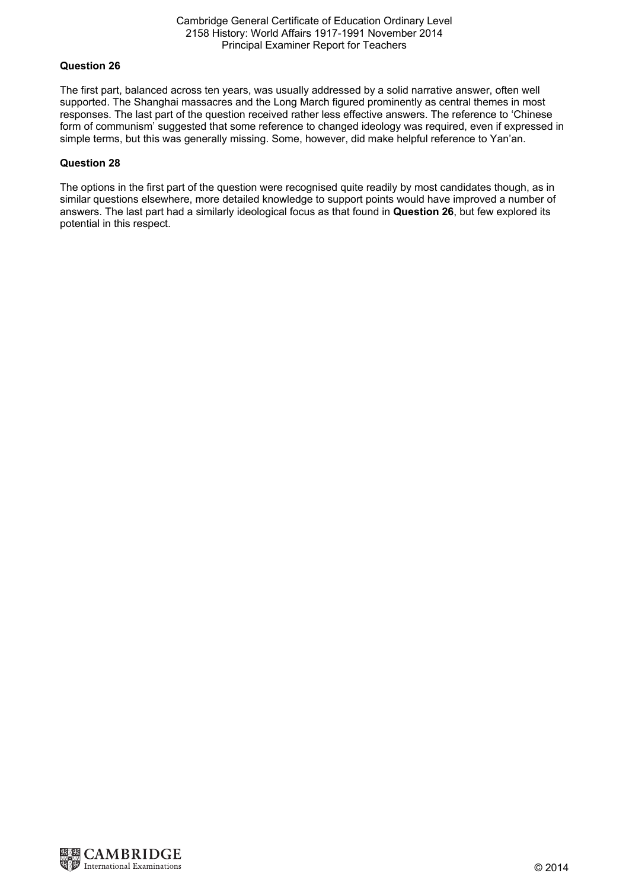#### Cambridge General Certificate of Education Ordinary Level 2158 History: World Affairs 1917-1991 November 2014 Principal Examiner Report for Teachers

## **Question 26**

The first part, balanced across ten years, was usually addressed by a solid narrative answer, often well supported. The Shanghai massacres and the Long March figured prominently as central themes in most responses. The last part of the question received rather less effective answers. The reference to 'Chinese form of communism' suggested that some reference to changed ideology was required, even if expressed in simple terms, but this was generally missing. Some, however, did make helpful reference to Yan'an.

#### **Question 28**

The options in the first part of the question were recognised quite readily by most candidates though, as in similar questions elsewhere, more detailed knowledge to support points would have improved a number of answers. The last part had a similarly ideological focus as that found in **Question 26**, but few explored its potential in this respect.

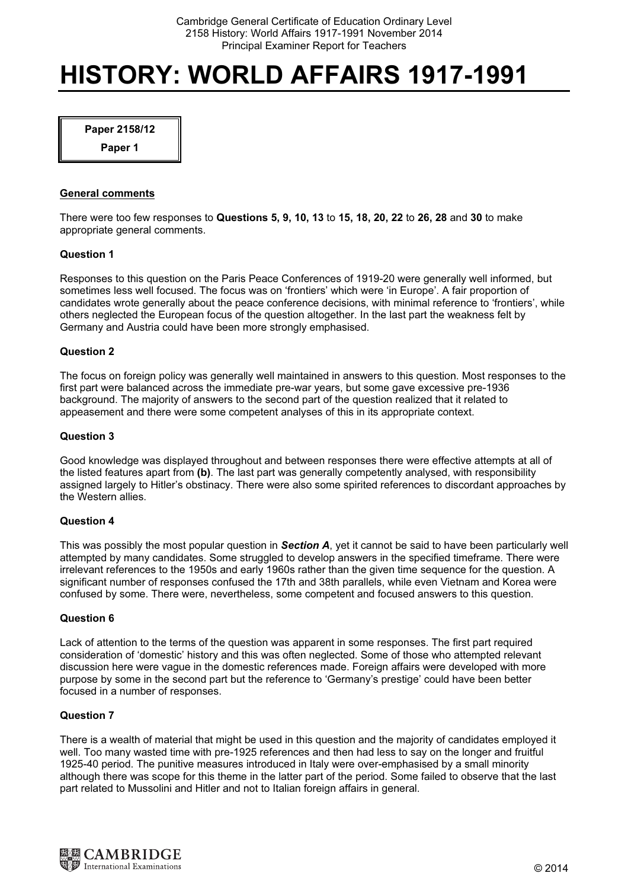# HISTORY: WORLD AFFAIRS 1917-1991

Paper 2158/12

Paper 1

## General comments

There were too few responses to Questions 5, 9, 10, 13 to 15, 18, 20, 22 to 26, 28 and 30 to make appropriate general comments.

#### Question 1

Responses to this question on the Paris Peace Conferences of 1919-20 were generally well informed, but sometimes less well focused. The focus was on 'frontiers' which were 'in Europe'. A fair proportion of candidates wrote generally about the peace conference decisions, with minimal reference to 'frontiers', while others neglected the European focus of the question altogether. In the last part the weakness felt by Germany and Austria could have been more strongly emphasised.

## Question 2

The focus on foreign policy was generally well maintained in answers to this question. Most responses to the first part were balanced across the immediate pre-war years, but some gave excessive pre-1936 background. The majority of answers to the second part of the question realized that it related to appeasement and there were some competent analyses of this in its appropriate context.

## Question 3

Good knowledge was displayed throughout and between responses there were effective attempts at all of the listed features apart from (b). The last part was generally competently analysed, with responsibility assigned largely to Hitler's obstinacy. There were also some spirited references to discordant approaches by the Western allies.

#### Question 4

This was possibly the most popular question in Section A, yet it cannot be said to have been particularly well attempted by many candidates. Some struggled to develop answers in the specified timeframe. There were irrelevant references to the 1950s and early 1960s rather than the given time sequence for the question. A significant number of responses confused the 17th and 38th parallels, while even Vietnam and Korea were confused by some. There were, nevertheless, some competent and focused answers to this question.

#### Question 6

Lack of attention to the terms of the question was apparent in some responses. The first part required consideration of 'domestic' history and this was often neglected. Some of those who attempted relevant discussion here were vague in the domestic references made. Foreign affairs were developed with more purpose by some in the second part but the reference to 'Germany's prestige' could have been better focused in a number of responses.

#### Question 7

There is a wealth of material that might be used in this question and the majority of candidates employed it well. Too many wasted time with pre-1925 references and then had less to say on the longer and fruitful 1925-40 period. The punitive measures introduced in Italy were over-emphasised by a small minority although there was scope for this theme in the latter part of the period. Some failed to observe that the last part related to Mussolini and Hitler and not to Italian foreign affairs in general.

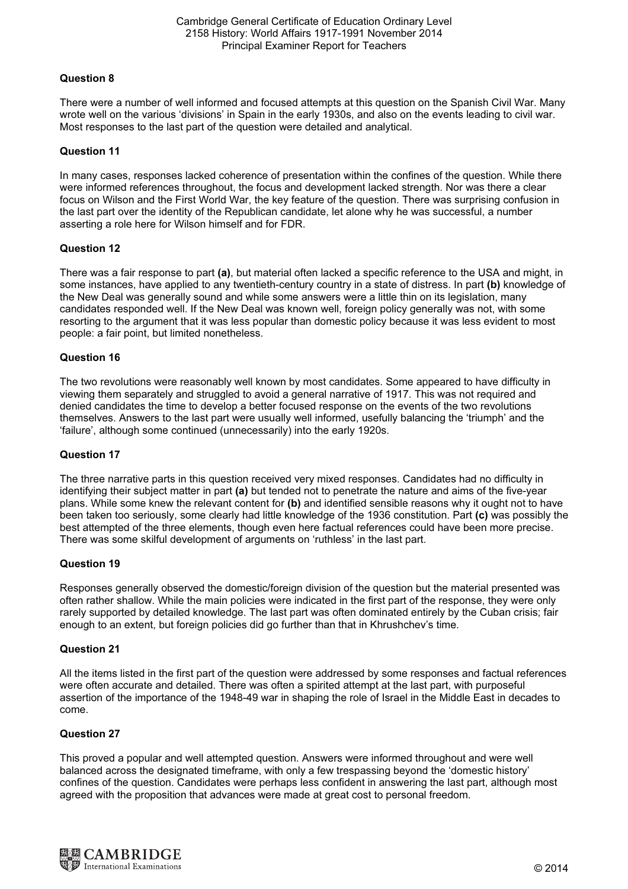# Question 8

There were a number of well informed and focused attempts at this question on the Spanish Civil War. Many wrote well on the various 'divisions' in Spain in the early 1930s, and also on the events leading to civil war. Most responses to the last part of the question were detailed and analytical.

## Question 11

In many cases, responses lacked coherence of presentation within the confines of the question. While there were informed references throughout, the focus and development lacked strength. Nor was there a clear focus on Wilson and the First World War, the key feature of the question. There was surprising confusion in the last part over the identity of the Republican candidate, let alone why he was successful, a number asserting a role here for Wilson himself and for FDR.

## Question 12

There was a fair response to part (a), but material often lacked a specific reference to the USA and might, in some instances, have applied to any twentieth-century country in a state of distress. In part (b) knowledge of the New Deal was generally sound and while some answers were a little thin on its legislation, many candidates responded well. If the New Deal was known well, foreign policy generally was not, with some resorting to the argument that it was less popular than domestic policy because it was less evident to most people: a fair point, but limited nonetheless.

## Question 16

The two revolutions were reasonably well known by most candidates. Some appeared to have difficulty in viewing them separately and struggled to avoid a general narrative of 1917. This was not required and denied candidates the time to develop a better focused response on the events of the two revolutions themselves. Answers to the last part were usually well informed, usefully balancing the 'triumph' and the 'failure', although some continued (unnecessarily) into the early 1920s.

## Question 17

The three narrative parts in this question received very mixed responses. Candidates had no difficulty in identifying their subject matter in part (a) but tended not to penetrate the nature and aims of the five-year plans. While some knew the relevant content for (b) and identified sensible reasons why it ought not to have been taken too seriously, some clearly had little knowledge of the 1936 constitution. Part (c) was possibly the best attempted of the three elements, though even here factual references could have been more precise. There was some skilful development of arguments on 'ruthless' in the last part.

## Question 19

Responses generally observed the domestic/foreign division of the question but the material presented was often rather shallow. While the main policies were indicated in the first part of the response, they were only rarely supported by detailed knowledge. The last part was often dominated entirely by the Cuban crisis; fair enough to an extent, but foreign policies did go further than that in Khrushchev's time.

## Question 21

All the items listed in the first part of the question were addressed by some responses and factual references were often accurate and detailed. There was often a spirited attempt at the last part, with purposeful assertion of the importance of the 1948-49 war in shaping the role of Israel in the Middle East in decades to come.

## Question 27

This proved a popular and well attempted question. Answers were informed throughout and were well balanced across the designated timeframe, with only a few trespassing beyond the 'domestic history' confines of the question. Candidates were perhaps less confident in answering the last part, although most agreed with the proposition that advances were made at great cost to personal freedom.